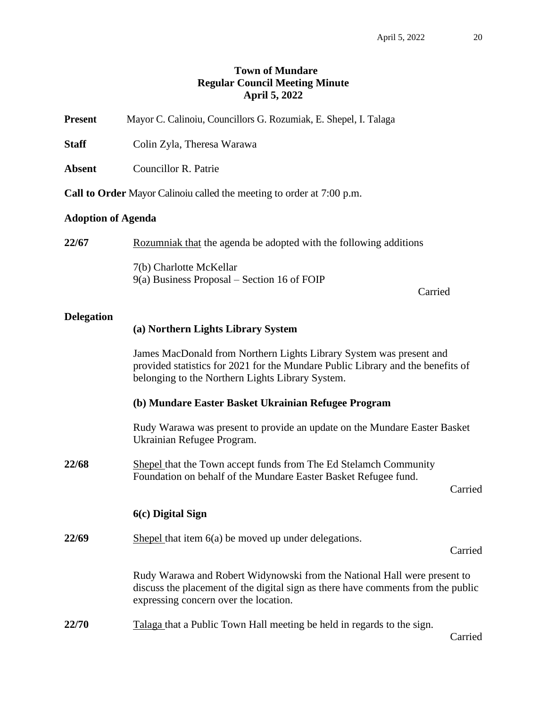# **Town of Mundare Regular Council Meeting Minute April 5, 2022**

**Present** Mayor C. Calinoiu, Councillors G. Rozumiak, E. Shepel, I. Talaga

**Staff** Colin Zyla, Theresa Warawa

**Absent** Councillor R. Patrie

**Call to Order** Mayor Calinoiu called the meeting to order at 7:00 p.m.

## **Adoption of Agenda**

**22/67** Rozumniak that the agenda be adopted with the following additions 7(b) Charlotte McKellar 9(a) Business Proposal – Section 16 of FOIP

Carried

## **Delegation**

#### **(a) Northern Lights Library System**

James MacDonald from Northern Lights Library System was present and provided statistics for 2021 for the Mundare Public Library and the benefits of belonging to the Northern Lights Library System.

## **(b) Mundare Easter Basket Ukrainian Refugee Program**

Rudy Warawa was present to provide an update on the Mundare Easter Basket Ukrainian Refugee Program.

22/68 Shepel that the Town accept funds from The Ed Stelamch Community Foundation on behalf of the Mundare Easter Basket Refugee fund.

Carried

#### **6(c) Digital Sign**

**22/69** Shepel that item 6(a) be moved up under delegations.

Carried

Rudy Warawa and Robert Widynowski from the National Hall were present to discuss the placement of the digital sign as there have comments from the public expressing concern over the location.

**22/70** Talaga that a Public Town Hall meeting be held in regards to the sign.

Carried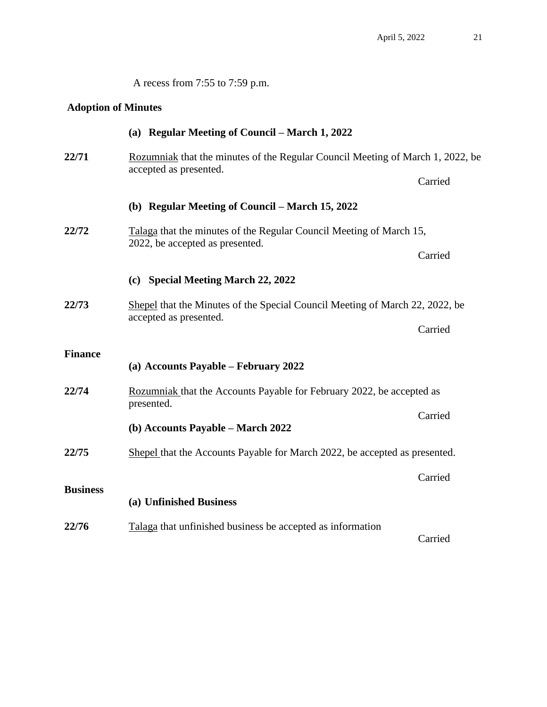A recess from 7:55 to 7:59 p.m.

# **Adoption of Minutes**

|                 | (a) Regular Meeting of Council – March 1, 2022                                                           |         |  |
|-----------------|----------------------------------------------------------------------------------------------------------|---------|--|
| 22/71           | Rozumniak that the minutes of the Regular Council Meeting of March 1, 2022, be<br>accepted as presented. |         |  |
|                 |                                                                                                          | Carried |  |
|                 | (b) Regular Meeting of Council – March 15, 2022                                                          |         |  |
| 22/72           | Talaga that the minutes of the Regular Council Meeting of March 15,<br>2022, be accepted as presented.   |         |  |
|                 |                                                                                                          | Carried |  |
|                 | (c) Special Meeting March 22, 2022                                                                       |         |  |
| 22/73           | Shepel that the Minutes of the Special Council Meeting of March 22, 2022, be                             |         |  |
|                 | accepted as presented.                                                                                   | Carried |  |
| <b>Finance</b>  |                                                                                                          |         |  |
|                 | (a) Accounts Payable – February 2022                                                                     |         |  |
| 22/74           | Rozumniak that the Accounts Payable for February 2022, be accepted as<br>presented.                      |         |  |
|                 | (b) Accounts Payable - March 2022                                                                        | Carried |  |
| 22/75           | Shepel that the Accounts Payable for March 2022, be accepted as presented.                               |         |  |
|                 |                                                                                                          | Carried |  |
| <b>Business</b> | (a) Unfinished Business                                                                                  |         |  |
| 22/76           | Talaga that unfinished business be accepted as information                                               |         |  |
|                 |                                                                                                          | Carried |  |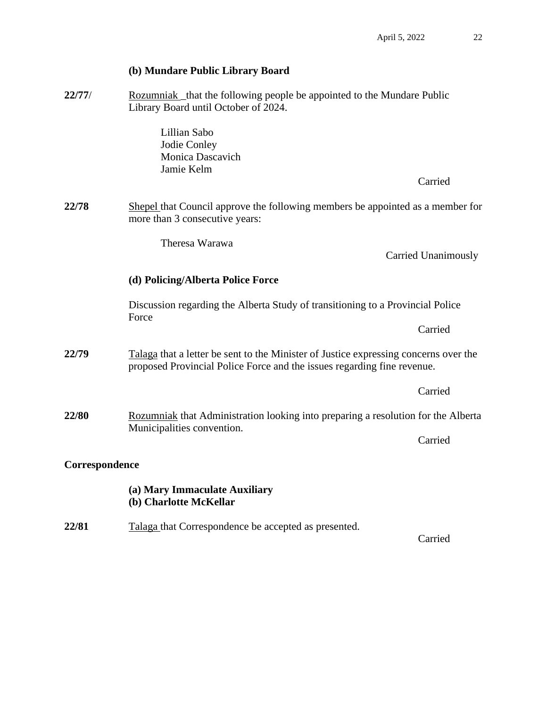# **(b) Mundare Public Library Board**

**22/77/** Rozumniak the following people be appointed to the Mundare Public Library Board until October of 2024.

> Lillian Sabo Jodie Conley Monica Dascavich Jamie Kelm

> > Carried

Carried Unanimously

**22/78** Shepel that Council approve the following members be appointed as a member for more than 3 consecutive years:

Theresa Warawa

# **(d) Policing/Alberta Police Force**

Discussion regarding the Alberta Study of transitioning to a Provincial Police Force

Carried

**22/79** Talaga that a letter be sent to the Minister of Justice expressing concerns over the proposed Provincial Police Force and the issues regarding fine revenue.

Carried **22/80** Rozumniak that Administration looking into preparing a resolution for the Alberta

## **Correspondence**

# **(a) Mary Immaculate Auxiliary (b) Charlotte McKellar**

Municipalities convention.

**22/81** Talaga that Correspondence be accepted as presented.

Carried

Carried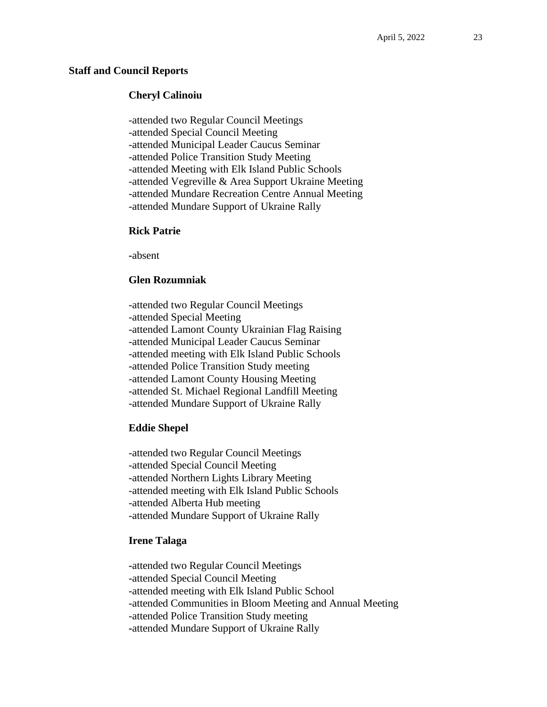#### **Staff and Council Reports**

## **Cheryl Calinoiu**

-attended two Regular Council Meetings -attended Special Council Meeting -attended Municipal Leader Caucus Seminar -attended Police Transition Study Meeting -attended Meeting with Elk Island Public Schools -attended Vegreville & Area Support Ukraine Meeting -attended Mundare Recreation Centre Annual Meeting -attended Mundare Support of Ukraine Rally

## **Rick Patrie**

**-**absent

## **Glen Rozumniak**

-attended two Regular Council Meetings -attended Special Meeting -attended Lamont County Ukrainian Flag Raising -attended Municipal Leader Caucus Seminar -attended meeting with Elk Island Public Schools -attended Police Transition Study meeting -attended Lamont County Housing Meeting -attended St. Michael Regional Landfill Meeting -attended Mundare Support of Ukraine Rally

#### **Eddie Shepel**

-attended two Regular Council Meetings -attended Special Council Meeting -attended Northern Lights Library Meeting -attended meeting with Elk Island Public Schools -attended Alberta Hub meeting -attended Mundare Support of Ukraine Rally

#### **Irene Talaga**

**-**attended two Regular Council Meetings -attended Special Council Meeting -attended meeting with Elk Island Public School -attended Communities in Bloom Meeting and Annual Meeting -attended Police Transition Study meeting **-**attended Mundare Support of Ukraine Rally